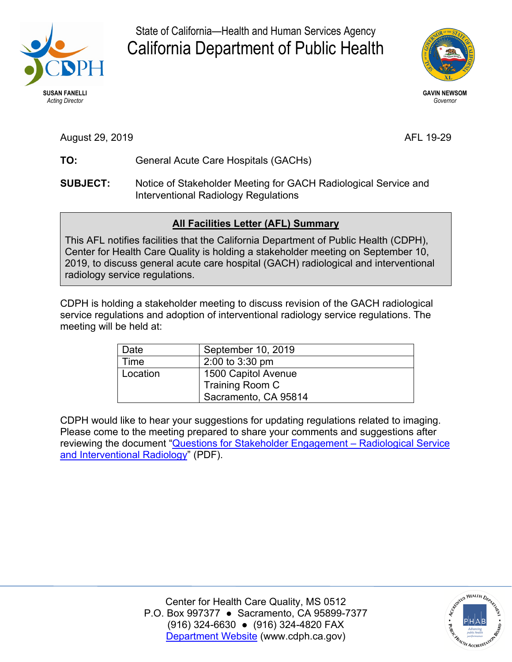

State of California—Health and Human Services Agency California Department of Public Health



August 29, 2019 **AFL 19-29** 

- TO: General Acute Care Hospitals (GACHs)
- **SUBJECT:** Notice of Stakeholder Meeting for GACH Radiological Service and Interventional Radiology Regulations

## **All Facilities Letter (AFL) Summary**

 Center for Health Care Quality is holding a stakeholder meeting on September 10, 2019, to discuss general acute care hospital (GACH) radiological and interventional This AFL notifies facilities that the California Department of Public Health (CDPH), radiology service regulations.

 service regulations and adoption of interventional radiology service regulations. The CDPH is holding a stakeholder meeting to discuss revision of the GACH radiological meeting will be held at:

| Date     | September 10, 2019   |
|----------|----------------------|
| Time     | 2:00 to 3:30 pm      |
| Location | 1500 Capitol Avenue  |
|          | Training Room C      |
|          | Sacramento, CA 95814 |

 CDPH would like to hear your suggestions for updating regulations related to imaging. reviewing the document "<u>Questions for Stakeholder Engagement – Radiological Service</u> [and Interventional Radiology"](https://www.cdph.ca.gov/Programs/CHCQ/LCP/CDPH%20Document%20Library/Questions-Stakeholder-Meeting-GACH-Radiological.pdf) (PDF). Please come to the meeting prepared to share your comments and suggestions after